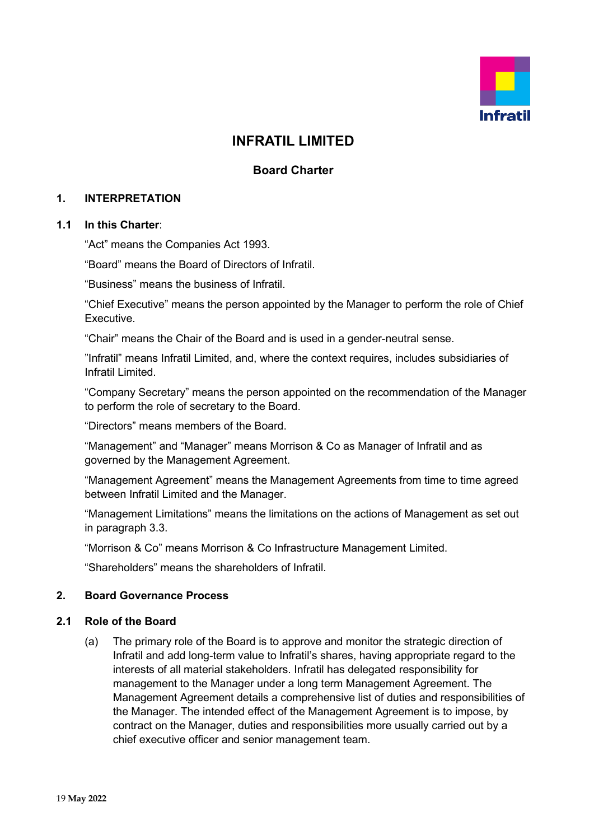

# **INFRATIL LIMITED**

# **Board Charter**

#### **1. INTERPRETATION**

#### **1.1 In this Charter**:

"Act" means the Companies Act 1993.

"Board" means the Board of Directors of Infratil.

"Business" means the business of Infratil.

"Chief Executive" means the person appointed by the Manager to perform the role of Chief Executive.

"Chair" means the Chair of the Board and is used in a gender-neutral sense.

"Infratil" means Infratil Limited, and, where the context requires, includes subsidiaries of Infratil Limited.

"Company Secretary" means the person appointed on the recommendation of the Manager to perform the role of secretary to the Board.

"Directors" means members of the Board.

"Management" and "Manager" means Morrison & Co as Manager of Infratil and as governed by the Management Agreement.

"Management Agreement" means the Management Agreements from time to time agreed between Infratil Limited and the Manager.

"Management Limitations" means the limitations on the actions of Management as set out in paragraph 3.3.

"Morrison & Co" means Morrison & Co Infrastructure Management Limited.

"Shareholders" means the shareholders of Infratil.

#### **2. Board Governance Process**

#### **2.1 Role of the Board**

(a) The primary role of the Board is to approve and monitor the strategic direction of Infratil and add long-term value to Infratil's shares, having appropriate regard to the interests of all material stakeholders. Infratil has delegated responsibility for management to the Manager under a long term Management Agreement. The Management Agreement details a comprehensive list of duties and responsibilities of the Manager. The intended effect of the Management Agreement is to impose, by contract on the Manager, duties and responsibilities more usually carried out by a chief executive officer and senior management team.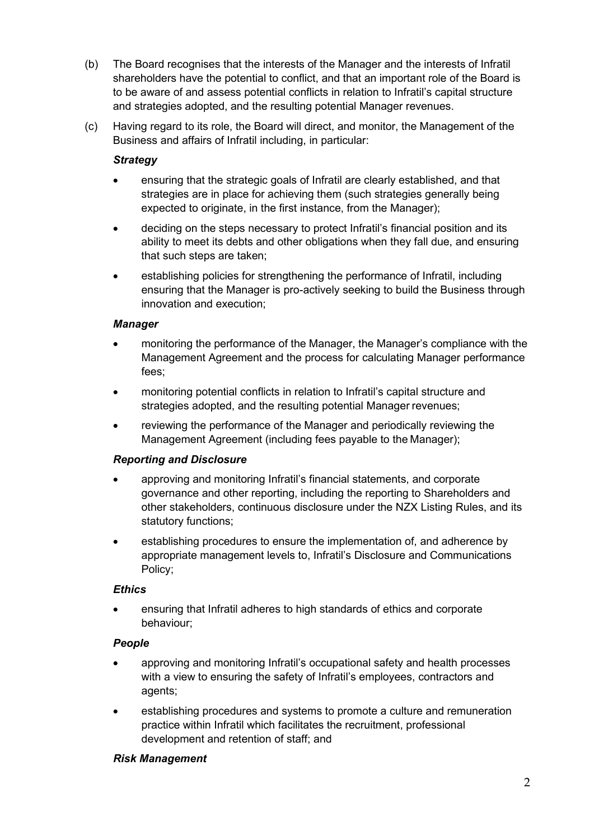- (b) The Board recognises that the interests of the Manager and the interests of Infratil shareholders have the potential to conflict, and that an important role of the Board is to be aware of and assess potential conflicts in relation to Infratil's capital structure and strategies adopted, and the resulting potential Manager revenues.
- (c) Having regard to its role, the Board will direct, and monitor, the Management of the Business and affairs of Infratil including, in particular:

### *Strategy*

- ensuring that the strategic goals of Infratil are clearly established, and that strategies are in place for achieving them (such strategies generally being expected to originate, in the first instance, from the Manager);
- deciding on the steps necessary to protect Infratil's financial position and its ability to meet its debts and other obligations when they fall due, and ensuring that such steps are taken;
- establishing policies for strengthening the performance of Infratil, including ensuring that the Manager is pro-actively seeking to build the Business through innovation and execution;

### *Manager*

- monitoring the performance of the Manager, the Manager's compliance with the Management Agreement and the process for calculating Manager performance fees;
- monitoring potential conflicts in relation to Infratil's capital structure and strategies adopted, and the resulting potential Manager revenues;
- reviewing the performance of the Manager and periodically reviewing the Management Agreement (including fees payable to the Manager);

### *Reporting and Disclosure*

- approving and monitoring Infratil's financial statements, and corporate governance and other reporting, including the reporting to Shareholders and other stakeholders, continuous disclosure under the NZX Listing Rules, and its statutory functions;
- establishing procedures to ensure the implementation of, and adherence by appropriate management levels to, Infratil's Disclosure and Communications Policy;

### *Ethics*

• ensuring that Infratil adheres to high standards of ethics and corporate behaviour;

### *People*

- approving and monitoring Infratil's occupational safety and health processes with a view to ensuring the safety of Infratil's employees, contractors and agents;
- establishing procedures and systems to promote a culture and remuneration practice within Infratil which facilitates the recruitment, professional development and retention of staff; and

### *Risk Management*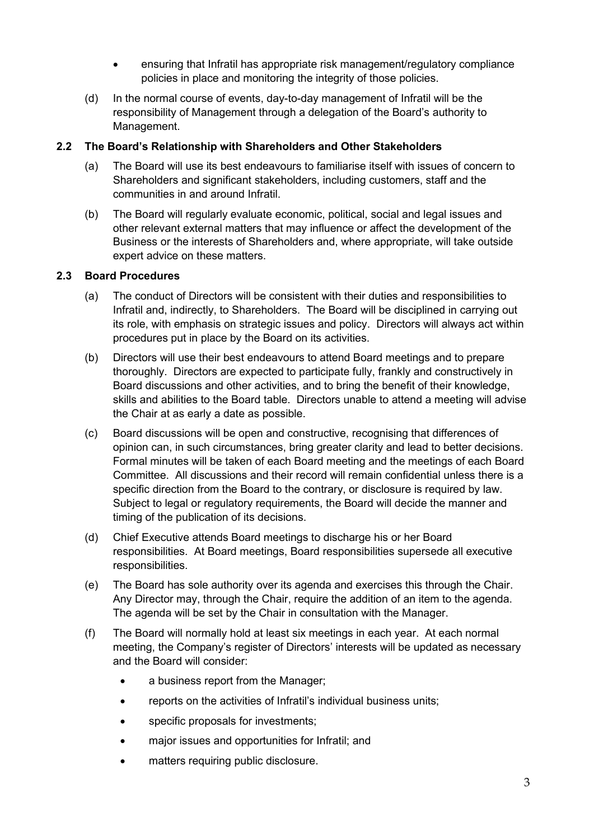- ensuring that Infratil has appropriate risk management/regulatory compliance policies in place and monitoring the integrity of those policies.
- (d) In the normal course of events, day-to-day management of Infratil will be the responsibility of Management through a delegation of the Board's authority to Management.

#### **2.2 The Board's Relationship with Shareholders and Other Stakeholders**

- (a) The Board will use its best endeavours to familiarise itself with issues of concern to Shareholders and significant stakeholders, including customers, staff and the communities in and around Infratil.
- (b) The Board will regularly evaluate economic, political, social and legal issues and other relevant external matters that may influence or affect the development of the Business or the interests of Shareholders and, where appropriate, will take outside expert advice on these matters.

#### **2.3 Board Procedures**

- (a) The conduct of Directors will be consistent with their duties and responsibilities to Infratil and, indirectly, to Shareholders. The Board will be disciplined in carrying out its role, with emphasis on strategic issues and policy. Directors will always act within procedures put in place by the Board on its activities.
- (b) Directors will use their best endeavours to attend Board meetings and to prepare thoroughly. Directors are expected to participate fully, frankly and constructively in Board discussions and other activities, and to bring the benefit of their knowledge, skills and abilities to the Board table. Directors unable to attend a meeting will advise the Chair at as early a date as possible.
- (c) Board discussions will be open and constructive, recognising that differences of opinion can, in such circumstances, bring greater clarity and lead to better decisions. Formal minutes will be taken of each Board meeting and the meetings of each Board Committee. All discussions and their record will remain confidential unless there is a specific direction from the Board to the contrary, or disclosure is required by law. Subject to legal or regulatory requirements, the Board will decide the manner and timing of the publication of its decisions.
- (d) Chief Executive attends Board meetings to discharge his or her Board responsibilities. At Board meetings, Board responsibilities supersede all executive responsibilities.
- (e) The Board has sole authority over its agenda and exercises this through the Chair. Any Director may, through the Chair, require the addition of an item to the agenda. The agenda will be set by the Chair in consultation with the Manager.
- (f) The Board will normally hold at least six meetings in each year. At each normal meeting, the Company's register of Directors' interests will be updated as necessary and the Board will consider:
	- a business report from the Manager;
	- reports on the activities of Infratil's individual business units;
	- specific proposals for investments;
	- major issues and opportunities for Infratil; and
	- matters requiring public disclosure.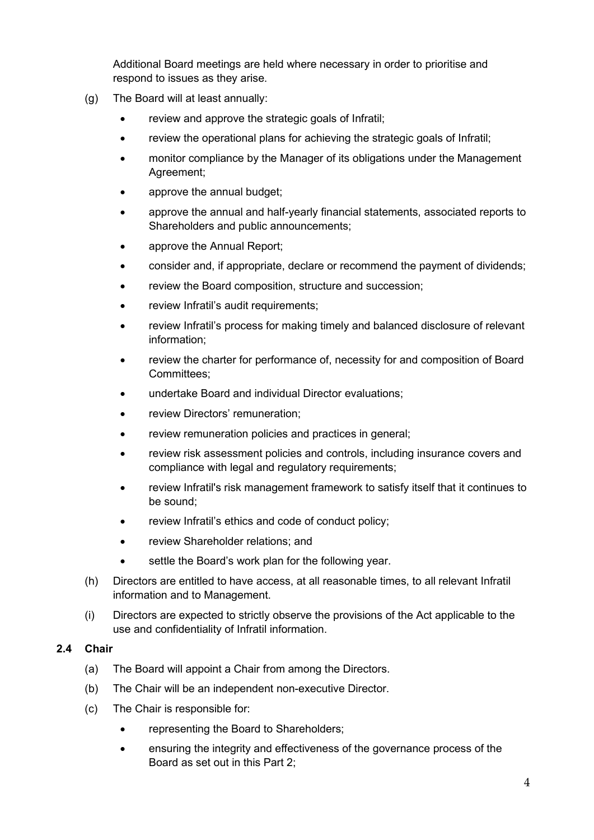Additional Board meetings are held where necessary in order to prioritise and respond to issues as they arise.

- (g) The Board will at least annually:
	- review and approve the strategic goals of Infratil;
	- review the operational plans for achieving the strategic goals of Infratil;
	- monitor compliance by the Manager of its obligations under the Management Agreement;
	- approve the annual budget;
	- approve the annual and half-yearly financial statements, associated reports to Shareholders and public announcements;
	- approve the Annual Report;
	- consider and, if appropriate, declare or recommend the payment of dividends;
	- review the Board composition, structure and succession;
	- review Infratil's audit requirements;
	- review Infratil's process for making timely and balanced disclosure of relevant information;
	- review the charter for performance of, necessity for and composition of Board Committees;
	- undertake Board and individual Director evaluations;
	- review Directors' remuneration;
	- review remuneration policies and practices in general;
	- review risk assessment policies and controls, including insurance covers and compliance with legal and regulatory requirements;
	- review Infratil's risk management framework to satisfy itself that it continues to be sound;
	- review Infratil's ethics and code of conduct policy;
	- review Shareholder relations; and
	- settle the Board's work plan for the following year.
- (h) Directors are entitled to have access, at all reasonable times, to all relevant Infratil information and to Management.
- (i) Directors are expected to strictly observe the provisions of the Act applicable to the use and confidentiality of Infratil information.

#### **2.4 Chair**

- (a) The Board will appoint a Chair from among the Directors.
- (b) The Chair will be an independent non-executive Director.
- (c) The Chair is responsible for:
	- representing the Board to Shareholders;
	- ensuring the integrity and effectiveness of the governance process of the Board as set out in this Part 2;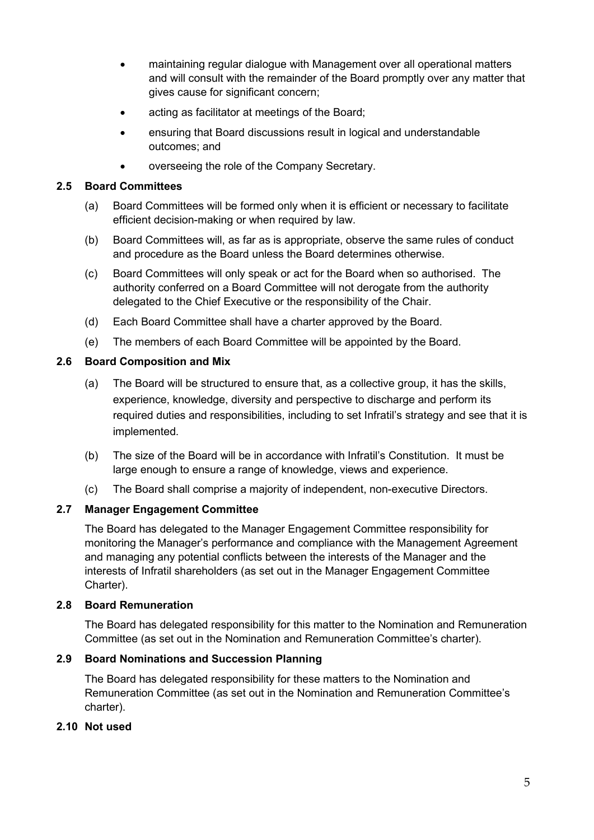- maintaining regular dialogue with Management over all operational matters and will consult with the remainder of the Board promptly over any matter that gives cause for significant concern;
- acting as facilitator at meetings of the Board;
- ensuring that Board discussions result in logical and understandable outcomes; and
- overseeing the role of the Company Secretary.

### **2.5 Board Committees**

- (a) Board Committees will be formed only when it is efficient or necessary to facilitate efficient decision-making or when required by law.
- (b) Board Committees will, as far as is appropriate, observe the same rules of conduct and procedure as the Board unless the Board determines otherwise.
- (c) Board Committees will only speak or act for the Board when so authorised. The authority conferred on a Board Committee will not derogate from the authority delegated to the Chief Executive or the responsibility of the Chair.
- (d) Each Board Committee shall have a charter approved by the Board.
- (e) The members of each Board Committee will be appointed by the Board.

#### **2.6 Board Composition and Mix**

- (a) The Board will be structured to ensure that, as a collective group, it has the skills, experience, knowledge, diversity and perspective to discharge and perform its required duties and responsibilities, including to set Infratil's strategy and see that it is implemented.
- (b) The size of the Board will be in accordance with Infratil's Constitution. It must be large enough to ensure a range of knowledge, views and experience.
- (c) The Board shall comprise a majority of independent, non-executive Directors.

### **2.7 Manager Engagement Committee**

The Board has delegated to the Manager Engagement Committee responsibility for monitoring the Manager's performance and compliance with the Management Agreement and managing any potential conflicts between the interests of the Manager and the interests of Infratil shareholders (as set out in the Manager Engagement Committee Charter).

#### **2.8 Board Remuneration**

The Board has delegated responsibility for this matter to the Nomination and Remuneration Committee (as set out in the Nomination and Remuneration Committee's charter).

### **2.9 Board Nominations and Succession Planning**

The Board has delegated responsibility for these matters to the Nomination and Remuneration Committee (as set out in the Nomination and Remuneration Committee's charter).

### **2.10 Not used**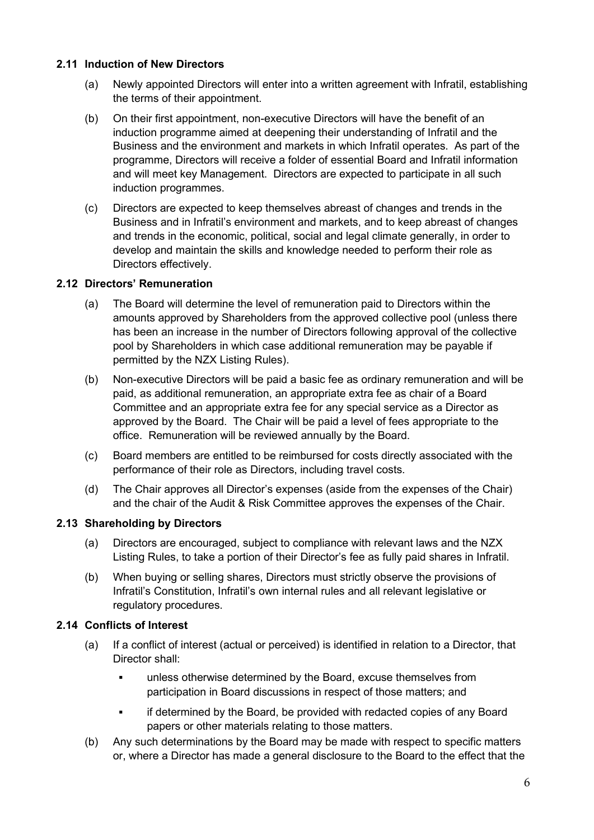#### **2.11 Induction of New Directors**

- (a) Newly appointed Directors will enter into a written agreement with Infratil, establishing the terms of their appointment.
- (b) On their first appointment, non-executive Directors will have the benefit of an induction programme aimed at deepening their understanding of Infratil and the Business and the environment and markets in which Infratil operates. As part of the programme, Directors will receive a folder of essential Board and Infratil information and will meet key Management. Directors are expected to participate in all such induction programmes.
- (c) Directors are expected to keep themselves abreast of changes and trends in the Business and in Infratil's environment and markets, and to keep abreast of changes and trends in the economic, political, social and legal climate generally, in order to develop and maintain the skills and knowledge needed to perform their role as Directors effectively.

#### **2.12 Directors' Remuneration**

- (a) The Board will determine the level of remuneration paid to Directors within the amounts approved by Shareholders from the approved collective pool (unless there has been an increase in the number of Directors following approval of the collective pool by Shareholders in which case additional remuneration may be payable if permitted by the NZX Listing Rules).
- (b) Non-executive Directors will be paid a basic fee as ordinary remuneration and will be paid, as additional remuneration, an appropriate extra fee as chair of a Board Committee and an appropriate extra fee for any special service as a Director as approved by the Board. The Chair will be paid a level of fees appropriate to the office. Remuneration will be reviewed annually by the Board.
- (c) Board members are entitled to be reimbursed for costs directly associated with the performance of their role as Directors, including travel costs.
- (d) The Chair approves all Director's expenses (aside from the expenses of the Chair) and the chair of the Audit & Risk Committee approves the expenses of the Chair.

#### **2.13 Shareholding by Directors**

- (a) Directors are encouraged, subject to compliance with relevant laws and the NZX Listing Rules, to take a portion of their Director's fee as fully paid shares in Infratil.
- (b) When buying or selling shares, Directors must strictly observe the provisions of Infratil's Constitution, Infratil's own internal rules and all relevant legislative or regulatory procedures.

### **2.14 Conflicts of Interest**

- (a) If a conflict of interest (actual or perceived) is identified in relation to a Director, that Director shall:
	- unless otherwise determined by the Board, excuse themselves from participation in Board discussions in respect of those matters; and
	- **EXEDER** if determined by the Board, be provided with redacted copies of any Board papers or other materials relating to those matters.
- (b) Any such determinations by the Board may be made with respect to specific matters or, where a Director has made a general disclosure to the Board to the effect that the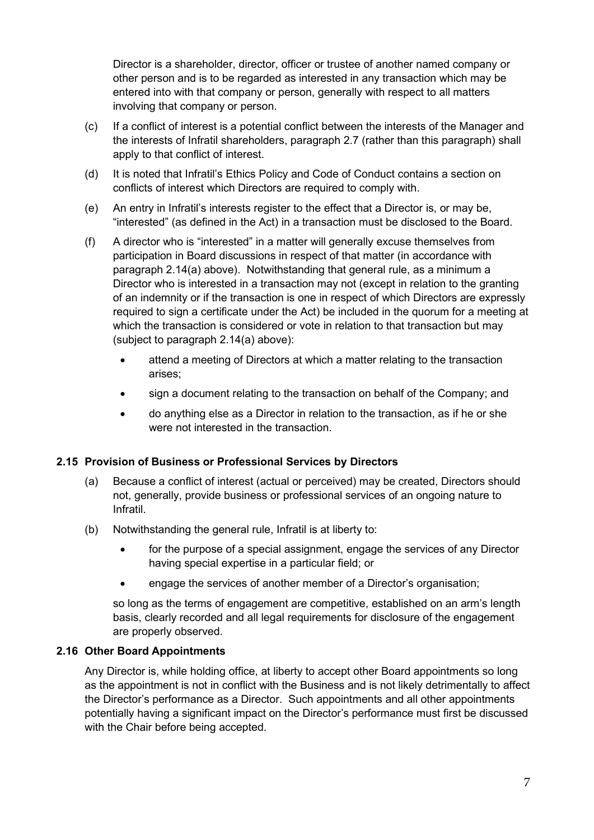Director is a shareholder, director, officer or trustee of another named company or other person and is to be regarded as interested in any transaction which may be entered into with that company or person, generally with respect to all matters involving that company or person.

- (c) If a conflict of interest is a potential conflict between the interests of the Manager and the interests of Infratil shareholders, paragraph 2.7 (rather than this paragraph) shall apply to that conflict of interest.
- (d) It is noted that Infratil's Ethics Policy and Code of Conduct contains a section on conflicts of interest which Directors are required to comply with.
- (e) An entry in Infratil's interests register to the effect that a Director is, or may be, "interested" (as defined in the Act) in a transaction must be disclosed to the Board.
- (f) A director who is "interested" in a matter will generally excuse themselves from participation in Board discussions in respect of that matter (in accordance with paragraph 2.14(a) above). Notwithstanding that general rule, as a minimum a Director who is interested in a transaction may not (except in relation to the granting of an indemnity or if the transaction is one in respect of which Directors are expressly required to sign a certificate under the Act) be included in the quorum for a meeting at which the transaction is considered or vote in relation to that transaction but may (subject to paragraph 2.14(a) above):
	- attend a meeting of Directors at which a matter relating to the transaction arises;
	- sign a document relating to the transaction on behalf of the Company; and
	- do anything else as a Director in relation to the transaction, as if he or she were not interested in the transaction.

### **2.15 Provision of Business or Professional Services by Directors**

- (a) Because a conflict of interest (actual or perceived) may be created, Directors should not, generally, provide business or professional services of an ongoing nature to Infratil.
- (b) Notwithstanding the general rule, Infratil is at liberty to:
	- for the purpose of a special assignment, engage the services of any Director having special expertise in a particular field; or
	- engage the services of another member of a Director's organisation;

so long as the terms of engagement are competitive, established on an arm's length basis, clearly recorded and all legal requirements for disclosure of the engagement are properly observed.

#### **2.16 Other Board Appointments**

Any Director is, while holding office, at liberty to accept other Board appointments so long as the appointment is not in conflict with the Business and is not likely detrimentally to affect the Director's performance as a Director. Such appointments and all other appointments potentially having a significant impact on the Director's performance must first be discussed with the Chair before being accepted.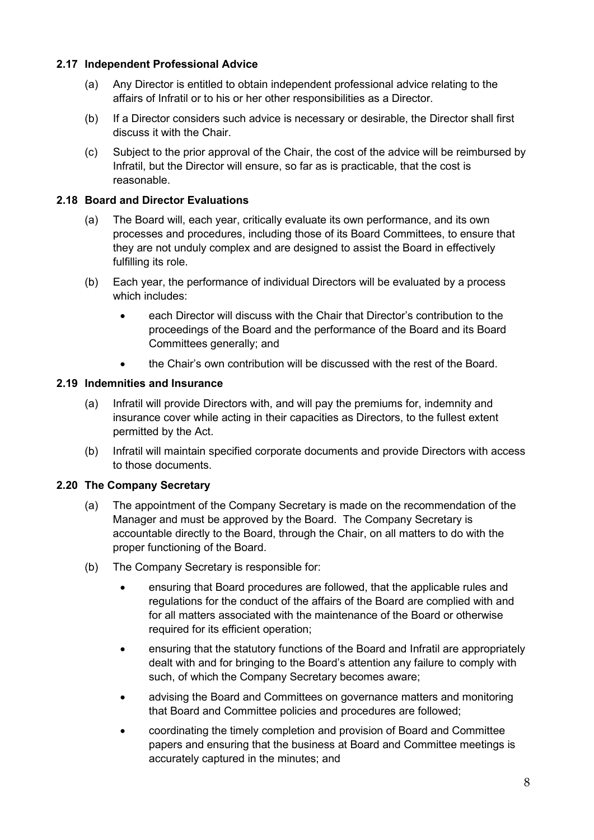### **2.17 Independent Professional Advice**

- (a) Any Director is entitled to obtain independent professional advice relating to the affairs of Infratil or to his or her other responsibilities as a Director.
- (b) If a Director considers such advice is necessary or desirable, the Director shall first discuss it with the Chair.
- (c) Subject to the prior approval of the Chair, the cost of the advice will be reimbursed by Infratil, but the Director will ensure, so far as is practicable, that the cost is reasonable.

## **2.18 Board and Director Evaluations**

- (a) The Board will, each year, critically evaluate its own performance, and its own processes and procedures, including those of its Board Committees, to ensure that they are not unduly complex and are designed to assist the Board in effectively fulfilling its role.
- (b) Each year, the performance of individual Directors will be evaluated by a process which includes:
	- each Director will discuss with the Chair that Director's contribution to the proceedings of the Board and the performance of the Board and its Board Committees generally; and
	- the Chair's own contribution will be discussed with the rest of the Board.

### **2.19 Indemnities and Insurance**

- (a) Infratil will provide Directors with, and will pay the premiums for, indemnity and insurance cover while acting in their capacities as Directors, to the fullest extent permitted by the Act.
- (b) Infratil will maintain specified corporate documents and provide Directors with access to those documents.

### **2.20 The Company Secretary**

- (a) The appointment of the Company Secretary is made on the recommendation of the Manager and must be approved by the Board. The Company Secretary is accountable directly to the Board, through the Chair, on all matters to do with the proper functioning of the Board.
- (b) The Company Secretary is responsible for:
	- ensuring that Board procedures are followed, that the applicable rules and regulations for the conduct of the affairs of the Board are complied with and for all matters associated with the maintenance of the Board or otherwise required for its efficient operation;
	- ensuring that the statutory functions of the Board and Infratil are appropriately dealt with and for bringing to the Board's attention any failure to comply with such, of which the Company Secretary becomes aware;
	- advising the Board and Committees on governance matters and monitoring that Board and Committee policies and procedures are followed;
	- coordinating the timely completion and provision of Board and Committee papers and ensuring that the business at Board and Committee meetings is accurately captured in the minutes; and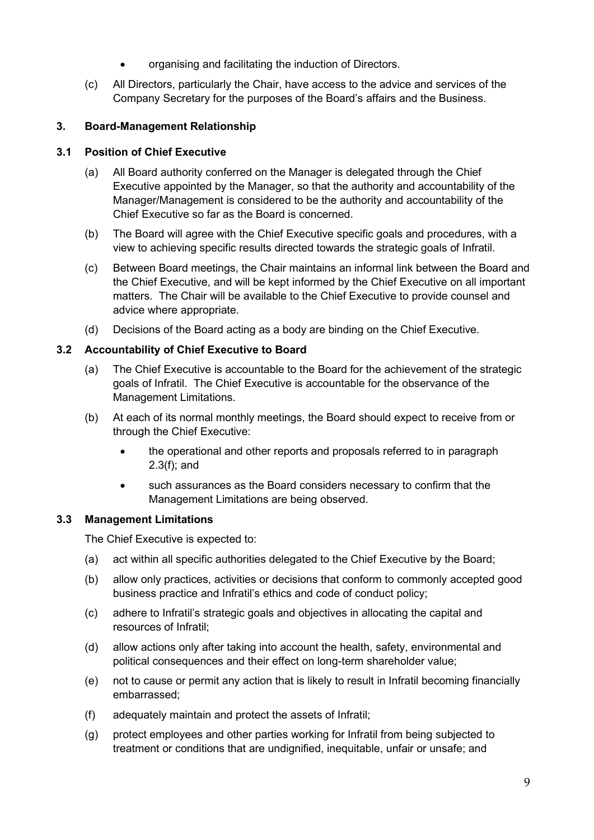- organising and facilitating the induction of Directors.
- (c) All Directors, particularly the Chair, have access to the advice and services of the Company Secretary for the purposes of the Board's affairs and the Business.

# **3. Board-Management Relationship**

### **3.1 Position of Chief Executive**

- (a) All Board authority conferred on the Manager is delegated through the Chief Executive appointed by the Manager, so that the authority and accountability of the Manager/Management is considered to be the authority and accountability of the Chief Executive so far as the Board is concerned.
- (b) The Board will agree with the Chief Executive specific goals and procedures, with a view to achieving specific results directed towards the strategic goals of Infratil.
- (c) Between Board meetings, the Chair maintains an informal link between the Board and the Chief Executive, and will be kept informed by the Chief Executive on all important matters. The Chair will be available to the Chief Executive to provide counsel and advice where appropriate.
- (d) Decisions of the Board acting as a body are binding on the Chief Executive.

### **3.2 Accountability of Chief Executive to Board**

- (a) The Chief Executive is accountable to the Board for the achievement of the strategic goals of Infratil. The Chief Executive is accountable for the observance of the Management Limitations.
- (b) At each of its normal monthly meetings, the Board should expect to receive from or through the Chief Executive:
	- the operational and other reports and proposals referred to in paragraph 2.3(f); and
	- such assurances as the Board considers necessary to confirm that the Management Limitations are being observed.

### **3.3 Management Limitations**

The Chief Executive is expected to:

- (a) act within all specific authorities delegated to the Chief Executive by the Board;
- (b) allow only practices, activities or decisions that conform to commonly accepted good business practice and Infratil's ethics and code of conduct policy;
- (c) adhere to Infratil's strategic goals and objectives in allocating the capital and resources of Infratil;
- (d) allow actions only after taking into account the health, safety, environmental and political consequences and their effect on long-term shareholder value;
- (e) not to cause or permit any action that is likely to result in Infratil becoming financially embarrassed;
- (f) adequately maintain and protect the assets of Infratil;
- (g) protect employees and other parties working for Infratil from being subjected to treatment or conditions that are undignified, inequitable, unfair or unsafe; and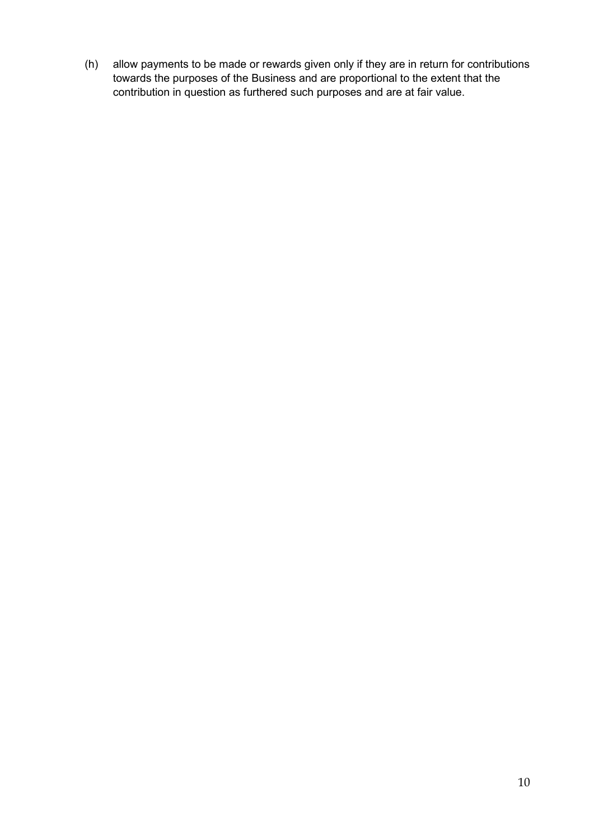(h) allow payments to be made or rewards given only if they are in return for contributions towards the purposes of the Business and are proportional to the extent that the contribution in question as furthered such purposes and are at fair value.